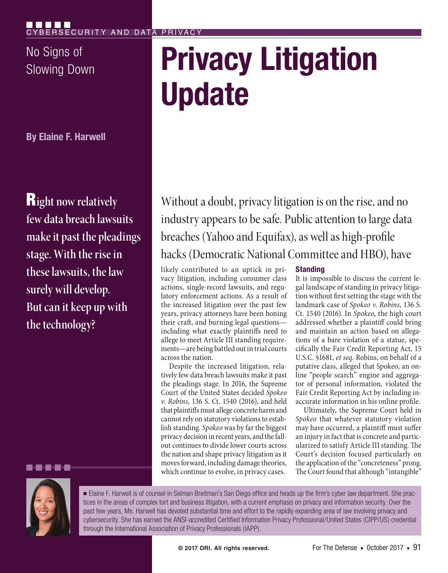No Signs of

**By Elaine F. Harwell**

R**ight now relatively few data breach lawsuits make it past the pleadings stage. With the rise in these lawsuits, the law surely will develop. But can it keep up with the technology?**

# **No Signs of Privacy Litigation Update**

Without a doubt, privacy litigation is on the rise, and no industry appears to be safe. Public attention to large data breaches (Yahoo and Equifax), as well as high-profile hacks (Democratic National Committee and HBO), have

likely contributed to an uptick in privacy litigation, including consumer class actions, single-record lawsuits, and regulatory enforcement actions. As a result of the increased litigation over the past few years, privacy attorneys have been honing their craft, and burning legal questions including what exactly plaintiffs need to allege to meet Article III standing requirements—are being battled out in trial courts across the nation.

Despite the increased litigation, relatively few data breach lawsuits make it past the pleadings stage. In 2016, the Supreme Court of the United States decided *Spokeo v. Robins*, 136 S. Ct. 1540 (2016), and held that plaintiffs must allege concrete harm and cannot rely on statutory violations to establish standing. *Spokeo* was by far the biggest privacy decision in recent years, and the fallout continues to divide lower courts across the nation and shape privacy litigation as it moves forward, including damage theories, which continue to evolve, in privacy cases.

# **Standing**

It is impossible to discuss the current legal landscape of standing in privacy litigation without first setting the stage with the landmark case of *Spokeo v. Robins*, 136 S. Ct. 1540 (2016). In *Spokeo*, the high court addressed whether a plaintiff could bring and maintain an action based on allegations of a bare violation of a statue, specifically the Fair Credit Reporting Act, 15 U.S.C. §1681, *et seq.* Robins, on behalf of a putative class, alleged that Spokeo, an online "people search" engine and aggregator of personal information, violated the Fair Credit Reporting Act by including inaccurate information in his online profile.

Ultimately, the Supreme Court held in *Spokeo* that whatever statutory violation may have occurred, a plaintiff must suffer an injury in fact that is concrete and particularized to satisfy Article III standing. The Court's decision focused particularly on the application of the "concreteness" prong. The Court found that although "intangible"



. . .

■ Elaine F. Harwell is of counsel in Selman Breitman's San Diego office and heads up the firm's cyber law department. She practices in the areas of complex tort and business litigation, with a current emphasis on privacy and information security. Over the past few years, Ms. Harwell has devoted substantial time and effort to the rapidly expanding area of law involving privacy and cybersecurity. She has earned the ANSI-accredited Certified Information Privacy Professional/United States (CIPP/US) credential through the International Association of Privacy Professionals (IAPP).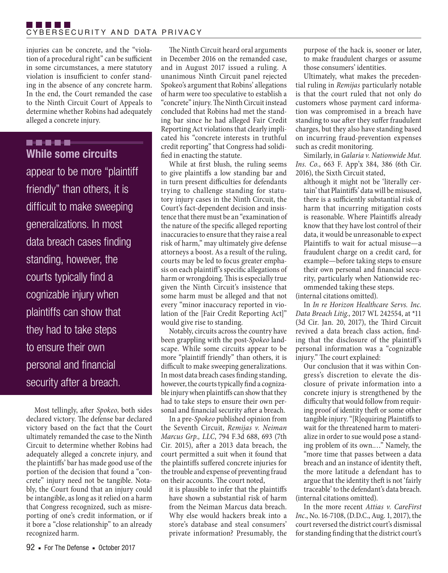TI FI FI FI FI CYBERSECURITY AND DATA PRIVACY

injuries can be concrete, and the "violation of a procedural right" can be sufficient in some circumstances, a mere statutory violation is insufficient to confer standing in the absence of any concrete harm. In the end, the Court remanded the case to the Ninth Circuit Court of Appeals to determine whether Robins had adequately alleged a concrete injury.

------**While some circuits** 

appear to be more "plaintiff friendly" than others, it is difficult to make sweeping generalizations. In most data breach cases finding standing, however, the courts typically find a cognizable injury when plaintiffs can show that they had to take steps to ensure their own personal and financial security after a breach.

Most tellingly, after *Spokeo*, both sides declared victory. The defense bar declared victory based on the fact that the Court ultimately remanded the case to the Ninth Circuit to determine whether Robins had adequately alleged a concrete injury, and the plaintiffs' bar has made good use of the portion of the decision that found a "concrete" injury need not be tangible. Notably, the Court found that an injury could be intangible, as long as it relied on a harm that Congress recognized, such as misreporting of one's credit information, or if it bore a "close relationship" to an already recognized harm.

The Ninth Circuit heard oral arguments in December 2016 on the remanded case, and in August 2017 issued a ruling. A unanimous Ninth Circuit panel rejected Spokeo's argument that Robins' allegations of harm were too speculative to establish a "concrete" injury. The Ninth Circuit instead concluded that Robins had met the standing bar since he had alleged Fair Credit Reporting Act violations that clearly implicated his "concrete interests in truthful credit reporting" that Congress had solidified in enacting the statute.

While at first blush, the ruling seems to give plaintiffs a low standing bar and in turn present difficulties for defendants trying to challenge standing for statutory injury cases in the Ninth Circuit, the Court's fact-dependent decision and insistence that there must be an "examination of the nature of the specific alleged reporting inaccuracies to ensure that they raise a real risk of harm," may ultimately give defense attorneys a boost. As a result of the ruling, courts may be led to focus greater emphasis on each plaintiff's specific allegations of harm or wrongdoing. This is especially true given the Ninth Circuit's insistence that some harm must be alleged and that not every "minor inaccuracy reported in violation of the [Fair Credit Reporting Act]" would give rise to standing.

Notably, circuits across the country have been grappling with the post-*Spokeo* landscape. While some circuits appear to be more "plaintiff friendly" than others, it is difficult to make sweeping generalizations. In most data breach cases finding standing, however, the courts typically find a cognizable injury when plaintiffs can show that they had to take steps to ensure their own personal and financial security after a breach.

In a pre-*Spokeo* published opinion from the Seventh Circuit, *Remijas v. Neiman Marcus Grp., LLC*, 794 F.3d 688, 693 (7th Cir. 2015), after a 2013 data breach, the court permitted a suit when it found that the plaintiffs suffered concrete injuries for the trouble and expense of preventing fraud on their accounts. The court noted,

it is plausible to infer that the plaintiffs have shown a substantial risk of harm from the Neiman Marcus data breach. Why else would hackers break into a store's database and steal consumers' private information? Presumably, the purpose of the hack is, sooner or later, to make fraudulent charges or assume those consumers' identities.

Ultimately, what makes the precedential ruling in *Remijas* particularly notable is that the court ruled that not only do customers whose payment card information was compromised in a breach have standing to sue after they suffer fraudulent charges, but they also have standing based on incurring fraud-prevention expenses such as credit monitoring.

Similarly, in *Galaria v. Nationwide Mut. Ins. Co.*, 663 F. App'x 384, 386 (6th Cir. 2016), the Sixth Circuit stated,

although it might not be 'literally certain' that Plaintiffs' data will be misused, there is a sufficiently substantial risk of harm that incurring mitigation costs is reasonable. Where Plaintiffs already know that they have lost control of their data, it would be unreasonable to expect Plaintiffs to wait for actual misuse—a fraudulent charge on a credit card, for example—before taking steps to ensure their own personal and financial security, particularly when Nationwide recommended taking these steps.

(internal citations omitted).

In *In re Horizon Healthcare Servs. Inc. Data Breach Litig.*, 2017 WL 242554, at \*11 (3d Cir. Jan. 20, 2017), the Third Circuit revived a data breach class action, finding that the disclosure of the plaintiff's personal information was a "cognizable injury." The court explained:

Our conclusion that it was within Congress's discretion to elevate the disclosure of private information into a concrete injury is strengthened by the difficulty that would follow from requiring proof of identity theft or some other tangible injury. "[R]equiring Plaintiffs to wait for the threatened harm to materialize in order to sue would pose a standing problem of its own.…" Namely, the "more time that passes between a data breach and an instance of identity theft, the more latitude a defendant has to argue that the identity theft is not 'fairly traceable' to the defendant's data breach. (internal citations omitted).

In the more recent *Attias v. CareFirst Inc*., No. 16-7108, (D.D.C., Aug. 1, 2017), the court reversed the district court's dismissal for standing finding that the district court's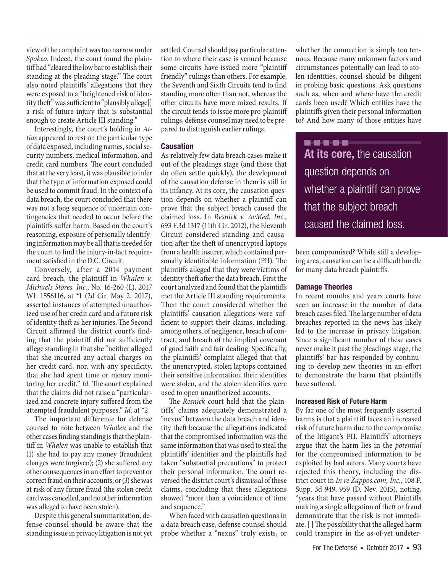view of the complaint was too narrow under *Spokeo.* Indeed, the court found the plaintiff had "cleared the low bar to establish their standing at the pleading stage." The court also noted plaintiffs' allegations that they were exposed to a "heightened risk of identity theft" was sufficient to "plausibly allege[] a risk of future injury that is substantial enough to create Article III standing."

Interestingly, the court's holding in *Attias* appeared to rest on the particular type of data exposed, including names, social security numbers, medical information, and credit card numbers. The court concluded that at the very least, it was plausible to infer that the type of information exposed could be used to commit fraud. In the context of a data breach, the court concluded that there was not a long sequence of uncertain contingencies that needed to occur before the plaintiffs suffer harm. Based on the court's reasoning, exposure of personally identifying information may be all that is needed for the court to find the injury-in-fact requirement satisfied in the D.C. Circuit.

Conversely, after a 2014 payment card breach, the plaintiff in *Whalen v. Michaels Stores, Inc.*, No. 16-260 (L), 2017 WL 1556116, at \*1 (2d Cir. May 2, 2017), asserted instances of attempted unauthorized use of her credit card and a future risk of identity theft as her injuries. The Second Circuit affirmed the district court's finding that the plaintiff did not sufficiently allege standing in that she "neither alleged that she incurred any actual charges on her credit card, nor, with any specificity, that she had spent time or money monitoring her credit." *Id*. The court explained that the claims did not raise a "particularized and concrete injury suffered from the attempted fraudulent purposes." *Id.* at \*2.

The important difference for defense counsel to note between *Whalen* and the other cases finding standing is that the plaintiff in *Whalen* was unable to establish that (1) she had to pay any money (fraudulent charges were forgiven); (2) she suffered any other consequences in an effort to prevent or correct fraud on their accounts; or (3) she was at risk of any future fraud (the stolen credit card was cancelled, and no other information was alleged to have been stolen).

Despite this general summarization, defense counsel should be aware that the standing issue in privacy litigation is not yet settled. Counsel should pay particular attention to where their case is venued because some circuits have issued more "plaintiff friendly" rulings than others. For example, the Seventh and Sixth Circuits tend to find standing more often than not, whereas the other circuits have more mixed results. If the circuit tends to issue more pro-plaintiff rulings, defense counsel may need to be prepared to distinguish earlier rulings.

# **Causation**

As relatively few data breach cases make it out of the pleadings stage (and those that do often settle quickly), the development of the causation defense in them is still in its infancy. At its core, the causation question depends on whether a plaintiff can prove that the subject breach caused the claimed loss. In *Resnick v. AvMed, Inc.*, 693 F.3d 1317 (11th Cir. 2012), the Eleventh Circuit considered standing and causation after the theft of unencrypted laptops from a health insurer, which contained personally identifiable information (PII). The plaintiffs alleged that they were victims of identity theft after the data breach. First the court analyzed and found that the plaintiffs met the Article III standing requirements. Then the court considered whether the plaintiffs' causation allegations were sufficient to support their claims, including, among others, of negligence, breach of contract, and breach of the implied covenant of good faith and fair dealing. Specifically, the plaintiffs' complaint alleged that that the unencrypted, stolen laptops contained their sensitive information, their identities were stolen, and the stolen identities were used to open unauthorized accounts.

The *Resnick* court held that the plaintiffs' claims adequately demonstrated a "nexus" between the data breach and identity theft because the allegations indicated that the compromised information was the same information that was used to steal the plaintiffs' identities and the plaintiffs had taken "substantial precautions" to protect their personal information. The court reversed the district court's dismissal of these claims, concluding that these allegations showed "more than a coincidence of time and sequence."

When faced with causation questions in a data breach case, defense counsel should probe whether a "nexus" truly exists, or

whether the connection is simply too tenuous. Because many unknown factors and circumstances potentially can lead to stolen identities, counsel should be diligent in probing basic questions. Ask questions such as, when and where have the credit cards been used? Which entities have the plaintiffs given their personal information to? And how many of those entities have

..... **At its core,** the causation question depends on whether a plaintiff can prove that the subject breach caused the claimed loss.

been compromised? While still a developing area, causation can be a difficult hurdle for many data breach plaintiffs.

# **Damage Theories**

In recent months and years courts have seen an increase in the number of data breach cases filed. The large number of data breaches reported in the news has likely led to the increase in privacy litigation. Since a significant number of these cases never make it past the pleadings stage, the plaintiffs' bar has responded by continuing to develop new theories in an effort to demonstrate the harm that plaintiffs have suffered.

### **Increased Risk of Future Harm**

By far one of the most frequently asserted harms is that a plaintiff faces an increased risk of future harm due to the compromise of the litigant's PII. Plaintiffs' attorneys argue that the harm lies in the *potential* for the compromised information to be exploited by bad actors. Many courts have rejected this theory, including the district court in *In re Zappos.com, Inc.*, 108 F. Supp. 3d 949, 959 (D. Nev. 2015), noting, "years that have passed without Plaintiffs making a single allegation of theft or fraud demonstrate that the risk is not immediate. [ ] The possibility that the alleged harm could transpire in the as-of-yet undeter